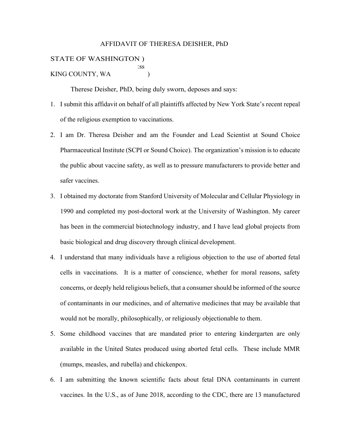## AFFIDAVIT OF THERESA DEISHER, PhD

## STATE OF WASHINGTON ) :ss KING COUNTY, WA (1)

Therese Deisher, PhD, being duly sworn, deposes and says:

- 1. I submit this affidavit on behalf of all plaintiffs affected by New York State's recent repeal of the religious exemption to vaccinations.
- 2. I am Dr. Theresa Deisher and am the Founder and Lead Scientist at Sound Choice Pharmaceutical Institute (SCPI or Sound Choice). The organization's mission is to educate the public about vaccine safety, as well as to pressure manufacturers to provide better and safer vaccines.
- 3. I obtained my doctorate from Stanford University of Molecular and Cellular Physiology in 1990 and completed my post-doctoral work at the University of Washington. My career has been in the commercial biotechnology industry, and I have lead global projects from basic biological and drug discovery through clinical development.
- 4. I understand that many individuals have a religious objection to the use of aborted fetal cells in vaccinations. It is a matter of conscience, whether for moral reasons, safety concerns, or deeply held religious beliefs, that a consumer should be informed of the source of contaminants in our medicines, and of alternative medicines that may be available that would not be morally, philosophically, or religiously objectionable to them.
- 5. Some childhood vaccines that are mandated prior to entering kindergarten are only available in the United States produced using aborted fetal cells. These include MMR (mumps, measles, and rubella) and chickenpox.
- 6. I am submitting the known scientific facts about fetal DNA contaminants in current vaccines. In the U.S., as of June 2018, according to the CDC, there are 13 manufactured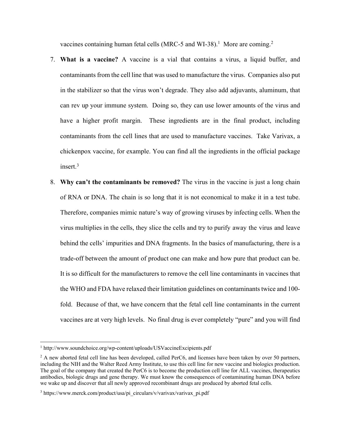vaccines containing human fetal cells (MRC-5 and WI-38).<sup>1</sup> More are coming.<sup>2</sup>

- 7. **What is a vaccine?** A vaccine is a vial that contains a virus, a liquid buffer, and contaminants from the cell line that was used to manufacture the virus. Companies also put in the stabilizer so that the virus won't degrade. They also add adjuvants, aluminum, that can rev up your immune system. Doing so, they can use lower amounts of the virus and have a higher profit margin. These ingredients are in the final product, including contaminants from the cell lines that are used to manufacture vaccines. Take Varivax, a chickenpox vaccine, for example. You can find all the ingredients in the official package insert.3
- 8. **Why can't the contaminants be removed?** The virus in the vaccine is just a long chain of RNA or DNA. The chain is so long that it is not economical to make it in a test tube. Therefore, companies mimic nature's way of growing viruses by infecting cells. When the virus multiplies in the cells, they slice the cells and try to purify away the virus and leave behind the cells' impurities and DNA fragments. In the basics of manufacturing, there is a trade-off between the amount of product one can make and how pure that product can be. It is so difficult for the manufacturers to remove the cell line contaminants in vaccines that the WHO and FDA have relaxed their limitation guidelines on contaminants twice and 100fold. Because of that, we have concern that the fetal cell line contaminants in the current vaccines are at very high levels. No final drug is ever completely "pure" and you will find

<sup>&</sup>lt;sup>1</sup> http://www.soundchoice.org/wp-content/uploads/USVaccineExcipients.pdf

 $2$  A new aborted fetal cell line has been developed, called PerC6, and licenses have been taken by over 50 partners, including the NIH and the Walter Reed Army Institute, to use this cell line for new vaccine and biologics production. The goal of the company that created the PerC6 is to become the production cell line for ALL vaccines, therapeutics antibodies, biologic drugs and gene therapy. We must know the consequences of contaminating human DNA before we wake up and discover that all newly approved recombinant drugs are produced by aborted fetal cells.

<sup>&</sup>lt;sup>3</sup> https://www.merck.com/product/usa/pi\_circulars/v/varivax/varivax\_pi.pdf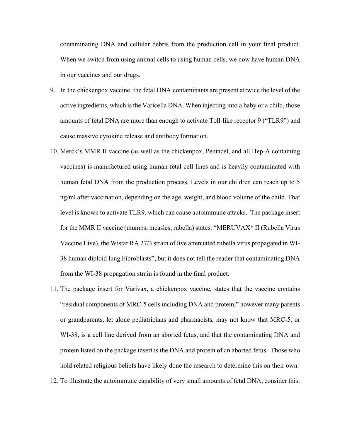contaminating DNA and cellular debris from the production cell in your final product. When we switch from using animal cells to using human cells, we now have human DNA in our vaccines and our drugs.

- 9. In the chickenpox vaccine, the fetal DNA contaminants are present at twice the level of the active ingredients, which is the Varicella DNA. When injecting into a baby or a child, those amounts of fetal DNA are more than enough to activate Toll-like receptor 9 ("TLR9") and cause massive cytokine release and antibody formation.
- 10. Merck's MMR II vaccine (as well as the chickenpox, Pentacel, and all Hep-A containing vaccines) is manufactured using human fetal cell lines and is heavily contaminated with human fetal DNA from the production process. Levels in our children can reach up to 5 ng/ml after vaccination, depending on the age, weight, and blood volume of the child. That level is known to activate TLR9, which can cause autoimmune attacks. The package insert for the MMR II vaccine (mumps, measles, rubella) states: "MERUVAX\* II (Rubella Virus Vaccine Live), the Wistar RA 27/3 strain of live attenuated rubella virus propagated in WI-38 human diploid lung Fibroblasts", but it does not tell the reader that contaminating DNA from the WI-38 propagation strain is found in the final product.
- 11. The package insert for Varivax, a chickenpox vaccine, states that the vaccine contains "residual components of MRC-5 cells including DNA and protein," however many parents or grandparents, let alone pediatricians and pharmacists, may not know that MRC-5, or WI-38, is a cell line derived from an aborted fetus, and that the contaminating DNA and protein listed on the package insert is the DNA and protein of an aborted fetus. Those who hold related religious beliefs have likely done the research to determine this on their own.
- 12. To illustrate the autoimmune capability of very small amounts of fetal DNA, consider this: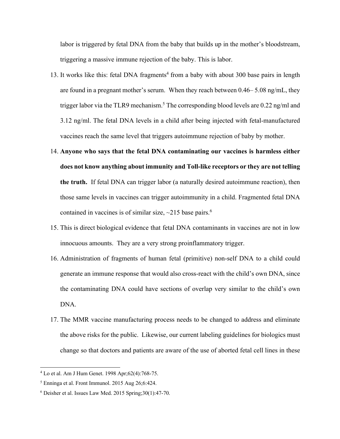labor is triggered by fetal DNA from the baby that builds up in the mother's bloodstream, triggering a massive immune rejection of the baby. This is labor.

- 13. It works like this: fetal DNA fragments<sup>4</sup> from a baby with about 300 base pairs in length are found in a pregnant mother's serum. When they reach between 0.46– 5.08 ng/mL, they trigger labor via the TLR9 mechanism.<sup>5</sup> The corresponding blood levels are 0.22 ng/ml and 3.12 ng/ml. The fetal DNA levels in a child after being injected with fetal-manufactured vaccines reach the same level that triggers autoimmune rejection of baby by mother.
- 14. **Anyone who says that the fetal DNA contaminating our vaccines is harmless either does not know anything about immunity and Toll-like receptors or they are not telling the truth.** If fetal DNA can trigger labor (a naturally desired autoimmune reaction), then those same levels in vaccines can trigger autoimmunity in a child. Fragmented fetal DNA contained in vaccines is of similar size,  $\sim$ 215 base pairs.<sup>6</sup>
- 15. This is direct biological evidence that fetal DNA contaminants in vaccines are not in low innocuous amounts. They are a very strong proinflammatory trigger.
- 16. Administration of fragments of human fetal (primitive) non-self DNA to a child could generate an immune response that would also cross-react with the child's own DNA, since the contaminating DNA could have sections of overlap very similar to the child's own DNA.
- 17. The MMR vaccine manufacturing process needs to be changed to address and eliminate the above risks for the public. Likewise, our current labeling guidelines for biologics must change so that doctors and patients are aware of the use of aborted fetal cell lines in these

<sup>4</sup> Lo et al. Am J Hum Genet. 1998 Apr;62(4):768-75.

 $<sup>5</sup>$  Enninga et al. Front Immunol. 2015 Aug 26;6:424.</sup>

<sup>6</sup> Deisher et al. Issues Law Med. 2015 Spring;30(1):47-70.